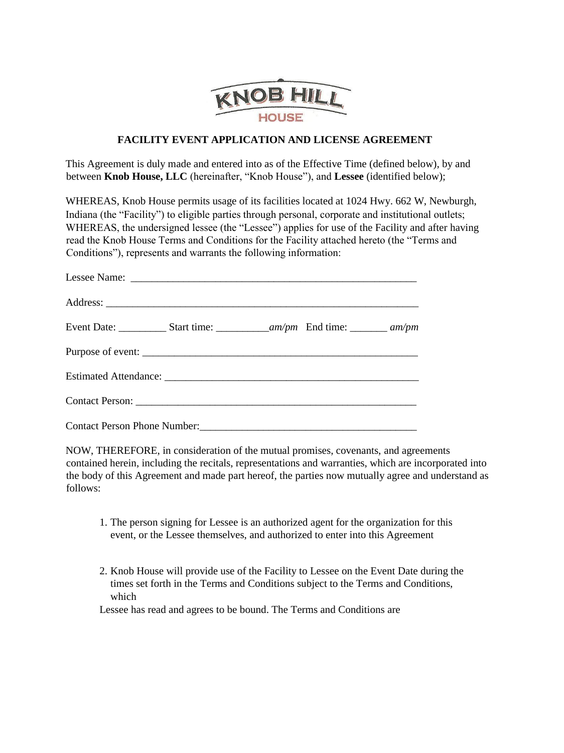

## **FACILITY EVENT APPLICATION AND LICENSE AGREEMENT**

This Agreement is duly made and entered into as of the Effective Time (defined below), by and between **Knob House, LLC** (hereinafter, "Knob House"), and **Lessee** (identified below);

WHEREAS, Knob House permits usage of its facilities located at 1024 Hwy. 662 W, Newburgh, Indiana (the "Facility") to eligible parties through personal, corporate and institutional outlets; WHEREAS, the undersigned lessee (the "Lessee") applies for use of the Facility and after having read the Knob House Terms and Conditions for the Facility attached hereto (the "Terms and Conditions"), represents and warrants the following information:

NOW, THEREFORE, in consideration of the mutual promises, covenants, and agreements contained herein, including the recitals, representations and warranties, which are incorporated into the body of this Agreement and made part hereof, the parties now mutually agree and understand as follows:

- 1. The person signing for Lessee is an authorized agent for the organization for this event, or the Lessee themselves, and authorized to enter into this Agreement
- 2. Knob House will provide use of the Facility to Lessee on the Event Date during the times set forth in the Terms and Conditions subject to the Terms and Conditions, which

Lessee has read and agrees to be bound. The Terms and Conditions are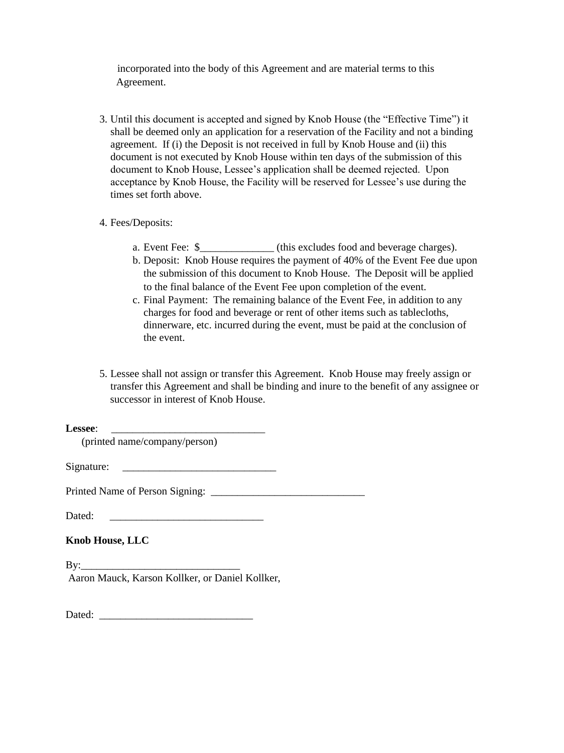incorporated into the body of this Agreement and are material terms to this Agreement.

- 3. Until this document is accepted and signed by Knob House (the "Effective Time") it shall be deemed only an application for a reservation of the Facility and not a binding agreement. If (i) the Deposit is not received in full by Knob House and (ii) this document is not executed by Knob House within ten days of the submission of this document to Knob House, Lessee's application shall be deemed rejected. Upon acceptance by Knob House, the Facility will be reserved for Lessee's use during the times set forth above.
- 4. Fees/Deposits:
	- a. Event Fee: \$\_\_\_\_\_\_\_\_\_\_\_\_\_\_ (this excludes food and beverage charges).
	- b. Deposit: Knob House requires the payment of 40% of the Event Fee due upon the submission of this document to Knob House. The Deposit will be applied to the final balance of the Event Fee upon completion of the event.
	- c. Final Payment: The remaining balance of the Event Fee, in addition to any charges for food and beverage or rent of other items such as tablecloths, dinnerware, etc. incurred during the event, must be paid at the conclusion of the event.
- 5. Lessee shall not assign or transfer this Agreement. Knob House may freely assign or transfer this Agreement and shall be binding and inure to the benefit of any assignee or successor in interest of Knob House.

Lessee<sup>:</sup>

(printed name/company/person)

Signature:

Printed Name of Person Signing: \_\_\_\_\_\_\_\_\_\_\_\_\_\_\_\_\_\_\_\_\_\_\_\_\_\_\_\_\_

Dated:

**Knob House, LLC**

 $\mathbf{B} \mathbf{y}$ : Aaron Mauck, Karson Kollker, or Daniel Kollker,

Dated: \_\_\_\_\_\_\_\_\_\_\_\_\_\_\_\_\_\_\_\_\_\_\_\_\_\_\_\_\_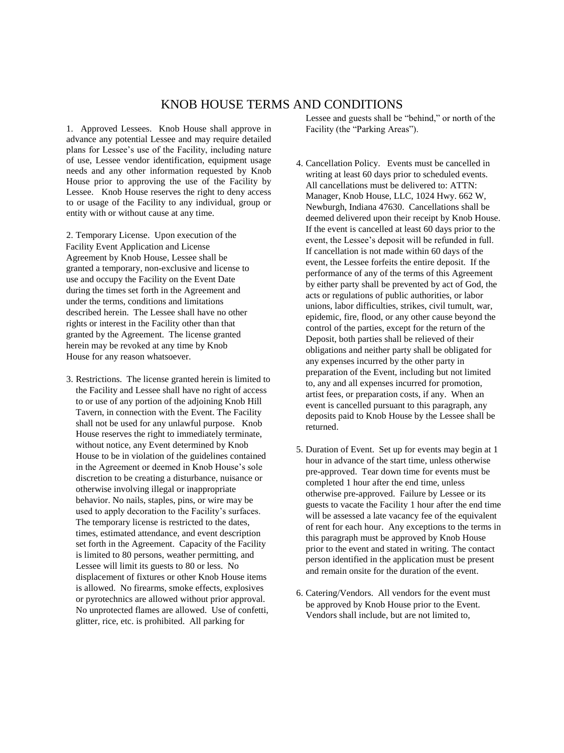## KNOB HOUSE TERMS AND CONDITIONS

1. Approved Lessees. Knob House shall approve in advance any potential Lessee and may require detailed plans for Lessee's use of the Facility, including nature of use, Lessee vendor identification, equipment usage needs and any other information requested by Knob House prior to approving the use of the Facility by Lessee. Knob House reserves the right to deny access to or usage of the Facility to any individual, group or entity with or without cause at any time.

2. Temporary License. Upon execution of the Facility Event Application and License Agreement by Knob House, Lessee shall be granted a temporary, non-exclusive and license to use and occupy the Facility on the Event Date during the times set forth in the Agreement and under the terms, conditions and limitations described herein. The Lessee shall have no other rights or interest in the Facility other than that granted by the Agreement. The license granted herein may be revoked at any time by Knob House for any reason whatsoever.

3. Restrictions. The license granted herein is limited to the Facility and Lessee shall have no right of access to or use of any portion of the adjoining Knob Hill Tavern, in connection with the Event. The Facility shall not be used for any unlawful purpose. Knob House reserves the right to immediately terminate, without notice, any Event determined by Knob House to be in violation of the guidelines contained in the Agreement or deemed in Knob House's sole discretion to be creating a disturbance, nuisance or otherwise involving illegal or inappropriate behavior. No nails, staples, pins, or wire may be used to apply decoration to the Facility's surfaces. The temporary license is restricted to the dates, times, estimated attendance, and event description set forth in the Agreement. Capacity of the Facility is limited to 80 persons, weather permitting, and Lessee will limit its guests to 80 or less. No displacement of fixtures or other Knob House items is allowed. No firearms, smoke effects, explosives or pyrotechnics are allowed without prior approval. No unprotected flames are allowed. Use of confetti, glitter, rice, etc. is prohibited. All parking for

Lessee and guests shall be "behind," or north of the Facility (the "Parking Areas").

- 4. Cancellation Policy. Events must be cancelled in writing at least 60 days prior to scheduled events. All cancellations must be delivered to: ATTN: Manager, Knob House, LLC, 1024 Hwy. 662 W, Newburgh, Indiana 47630. Cancellations shall be deemed delivered upon their receipt by Knob House. If the event is cancelled at least 60 days prior to the event, the Lessee's deposit will be refunded in full. If cancellation is not made within 60 days of the event, the Lessee forfeits the entire deposit. If the performance of any of the terms of this Agreement by either party shall be prevented by act of God, the acts or regulations of public authorities, or labor unions, labor difficulties, strikes, civil tumult, war, epidemic, fire, flood, or any other cause beyond the control of the parties, except for the return of the Deposit, both parties shall be relieved of their obligations and neither party shall be obligated for any expenses incurred by the other party in preparation of the Event, including but not limited to, any and all expenses incurred for promotion, artist fees, or preparation costs, if any. When an event is cancelled pursuant to this paragraph, any deposits paid to Knob House by the Lessee shall be returned.
- 5. Duration of Event. Set up for events may begin at 1 hour in advance of the start time, unless otherwise pre-approved. Tear down time for events must be completed 1 hour after the end time, unless otherwise pre-approved. Failure by Lessee or its guests to vacate the Facility 1 hour after the end time will be assessed a late vacancy fee of the equivalent of rent for each hour. Any exceptions to the terms in this paragraph must be approved by Knob House prior to the event and stated in writing. The contact person identified in the application must be present and remain onsite for the duration of the event.
- 6. Catering/Vendors. All vendors for the event must be approved by Knob House prior to the Event. Vendors shall include, but are not limited to,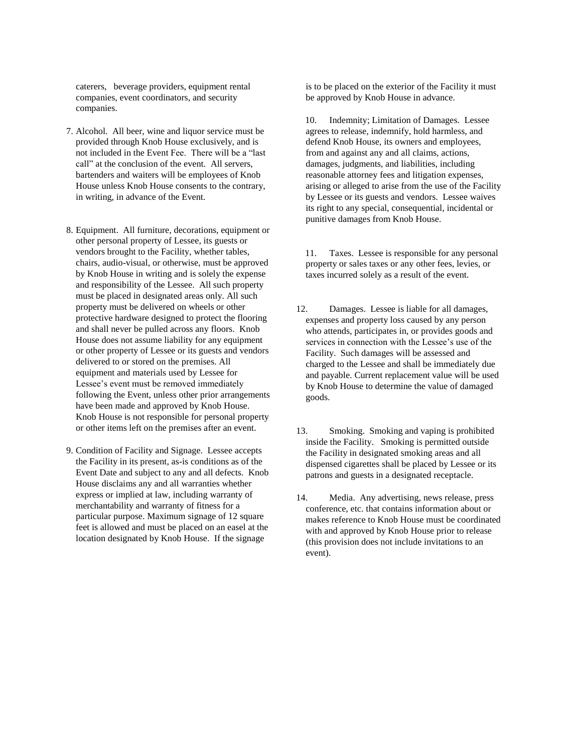caterers, beverage providers, equipment rental companies, event coordinators, and security companies.

- 7. Alcohol. All beer, wine and liquor service must be provided through Knob House exclusively, and is not included in the Event Fee. There will be a "last call" at the conclusion of the event. All servers, bartenders and waiters will be employees of Knob House unless Knob House consents to the contrary, in writing, in advance of the Event.
- 8. Equipment. All furniture, decorations, equipment or other personal property of Lessee, its guests or vendors brought to the Facility, whether tables, chairs, audio-visual, or otherwise, must be approved by Knob House in writing and is solely the expense and responsibility of the Lessee. All such property must be placed in designated areas only. All such property must be delivered on wheels or other protective hardware designed to protect the flooring and shall never be pulled across any floors. Knob House does not assume liability for any equipment or other property of Lessee or its guests and vendors delivered to or stored on the premises. All equipment and materials used by Lessee for Lessee's event must be removed immediately following the Event, unless other prior arrangements have been made and approved by Knob House. Knob House is not responsible for personal property or other items left on the premises after an event.
- 9. Condition of Facility and Signage. Lessee accepts the Facility in its present, as-is conditions as of the Event Date and subject to any and all defects. Knob House disclaims any and all warranties whether express or implied at law, including warranty of merchantability and warranty of fitness for a particular purpose. Maximum signage of 12 square feet is allowed and must be placed on an easel at the location designated by Knob House. If the signage

is to be placed on the exterior of the Facility it must be approved by Knob House in advance.

10. Indemnity; Limitation of Damages. Lessee agrees to release, indemnify, hold harmless, and defend Knob House, its owners and employees, from and against any and all claims, actions, damages, judgments, and liabilities, including reasonable attorney fees and litigation expenses, arising or alleged to arise from the use of the Facility by Lessee or its guests and vendors. Lessee waives its right to any special, consequential, incidental or punitive damages from Knob House.

11. Taxes. Lessee is responsible for any personal property or sales taxes or any other fees, levies, or taxes incurred solely as a result of the event.

- 12. Damages. Lessee is liable for all damages, expenses and property loss caused by any person who attends, participates in, or provides goods and services in connection with the Lessee's use of the Facility. Such damages will be assessed and charged to the Lessee and shall be immediately due and payable. Current replacement value will be used by Knob House to determine the value of damaged goods.
- 13. Smoking. Smoking and vaping is prohibited inside the Facility. Smoking is permitted outside the Facility in designated smoking areas and all dispensed cigarettes shall be placed by Lessee or its patrons and guests in a designated receptacle.
- 14. Media. Any advertising, news release, press conference, etc. that contains information about or makes reference to Knob House must be coordinated with and approved by Knob House prior to release (this provision does not include invitations to an event).